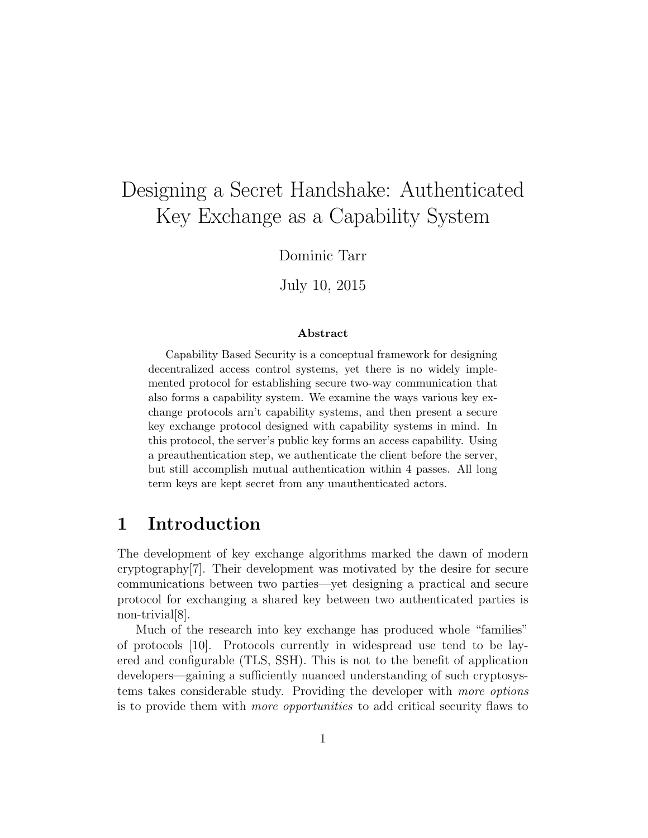# Designing a Secret Handshake: Authenticated Key Exchange as a Capability System

Dominic Tarr

July 10, 2015

#### Abstract

Capability Based Security is a conceptual framework for designing decentralized access control systems, yet there is no widely implemented protocol for establishing secure two-way communication that also forms a capability system. We examine the ways various key exchange protocols arn't capability systems, and then present a secure key exchange protocol designed with capability systems in mind. In this protocol, the server's public key forms an access capability. Using a preauthentication step, we authenticate the client before the server, but still accomplish mutual authentication within 4 passes. All long term keys are kept secret from any unauthenticated actors.

# 1 Introduction

The development of key exchange algorithms marked the dawn of modern cryptography[7]. Their development was motivated by the desire for secure communications between two parties—yet designing a practical and secure protocol for exchanging a shared key between two authenticated parties is non-trivial[8].

Much of the research into key exchange has produced whole "families" of protocols [10]. Protocols currently in widespread use tend to be layered and configurable (TLS, SSH). This is not to the benefit of application developers—gaining a sufficiently nuanced understanding of such cryptosystems takes considerable study. Providing the developer with more options is to provide them with more opportunities to add critical security flaws to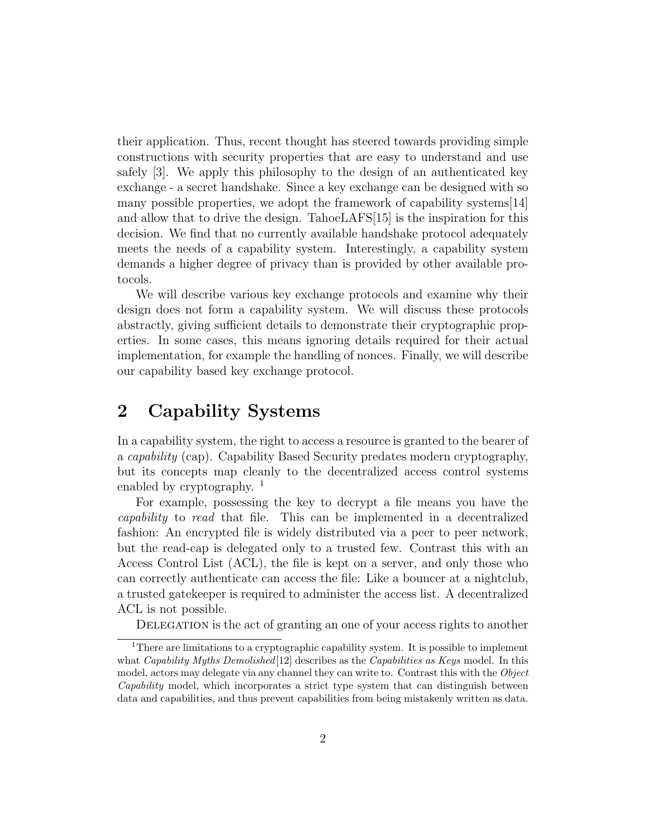their application. Thus, recent thought has steered towards providing simple constructions with security properties that are easy to understand and use safely [3]. We apply this philosophy to the design of an authenticated key exchange - a secret handshake. Since a key exchange can be designed with so many possible properties, we adopt the framework of capability systems[14] and allow that to drive the design. TahoeLAFS[15] is the inspiration for this decision. We find that no currently available handshake protocol adequately meets the needs of a capability system. Interestingly, a capability system demands a higher degree of privacy than is provided by other available protocols.

We will describe various key exchange protocols and examine why their design does not form a capability system. We will discuss these protocols abstractly, giving sufficient details to demonstrate their cryptographic properties. In some cases, this means ignoring details required for their actual implementation, for example the handling of nonces. Finally, we will describe our capability based key exchange protocol.

# 2 Capability Systems

In a capability system, the right to access a resource is granted to the bearer of a capability (cap). Capability Based Security predates modern cryptography, but its concepts map cleanly to the decentralized access control systems enabled by cryptography.  $\frac{1}{1}$ 

For example, possessing the key to decrypt a file means you have the capability to read that file. This can be implemented in a decentralized fashion: An encrypted file is widely distributed via a peer to peer network, but the read-cap is delegated only to a trusted few. Contrast this with an Access Control List (ACL), the file is kept on a server, and only those who can correctly authenticate can access the file: Like a bouncer at a nightclub, a trusted gatekeeper is required to administer the access list. A decentralized ACL is not possible.

DELEGATION is the act of granting an one of your access rights to another

<sup>&</sup>lt;sup>1</sup>There are limitations to a cryptographic capability system. It is possible to implement what Capability Myths Demolished  $[12]$  describes as the Capabilities as Keys model. In this model, actors may delegate via any channel they can write to. Contrast this with the Object Capability model, which incorporates a strict type system that can distinguish between data and capabilities, and thus prevent capabilities from being mistakenly written as data.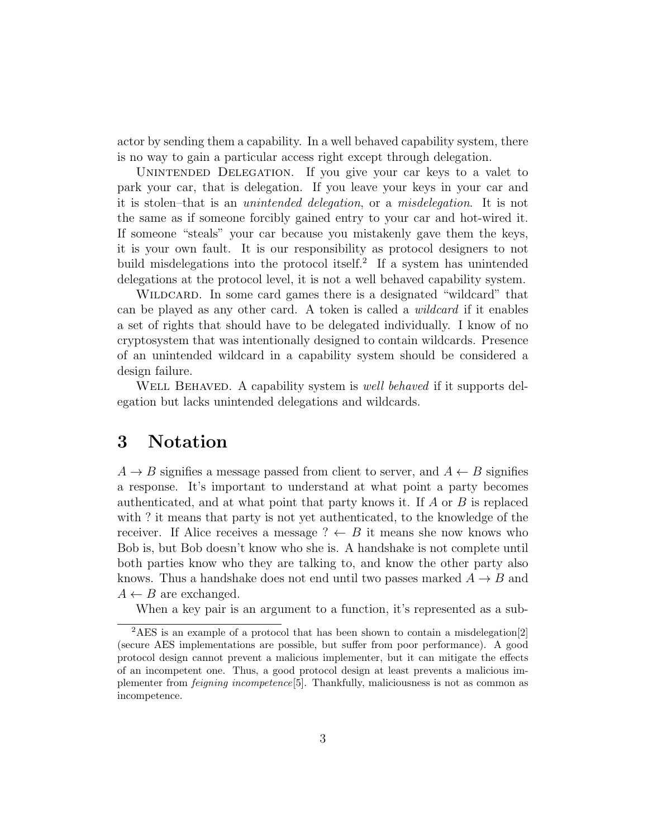actor by sending them a capability. In a well behaved capability system, there is no way to gain a particular access right except through delegation.

UNINTENDED DELEGATION. If you give your car keys to a valet to park your car, that is delegation. If you leave your keys in your car and it is stolen–that is an unintended delegation, or a misdelegation. It is not the same as if someone forcibly gained entry to your car and hot-wired it. If someone "steals" your car because you mistakenly gave them the keys, it is your own fault. It is our responsibility as protocol designers to not build misdelegations into the protocol itself.<sup>2</sup> If a system has unintended delegations at the protocol level, it is not a well behaved capability system.

WILDCARD. In some card games there is a designated "wildcard" that can be played as any other card. A token is called a *wildcard* if it enables a set of rights that should have to be delegated individually. I know of no cryptosystem that was intentionally designed to contain wildcards. Presence of an unintended wildcard in a capability system should be considered a design failure.

WELL BEHAVED. A capability system is *well behaved* if it supports delegation but lacks unintended delegations and wildcards.

### 3 Notation

 $A \rightarrow B$  signifies a message passed from client to server, and  $A \leftarrow B$  signifies a response. It's important to understand at what point a party becomes authenticated, and at what point that party knows it. If A or B is replaced with ? it means that party is not yet authenticated, to the knowledge of the receiver. If Alice receives a message ?  $\leftarrow$  B it means she now knows who Bob is, but Bob doesn't know who she is. A handshake is not complete until both parties know who they are talking to, and know the other party also knows. Thus a handshake does not end until two passes marked  $A \rightarrow B$  and  $A \leftarrow B$  are exchanged.

When a key pair is an argument to a function, it's represented as a sub-

<sup>2</sup>AES is an example of a protocol that has been shown to contain a misdelegation[2] (secure AES implementations are possible, but suffer from poor performance). A good protocol design cannot prevent a malicious implementer, but it can mitigate the effects of an incompetent one. Thus, a good protocol design at least prevents a malicious implementer from feigning incompetence[5]. Thankfully, maliciousness is not as common as incompetence.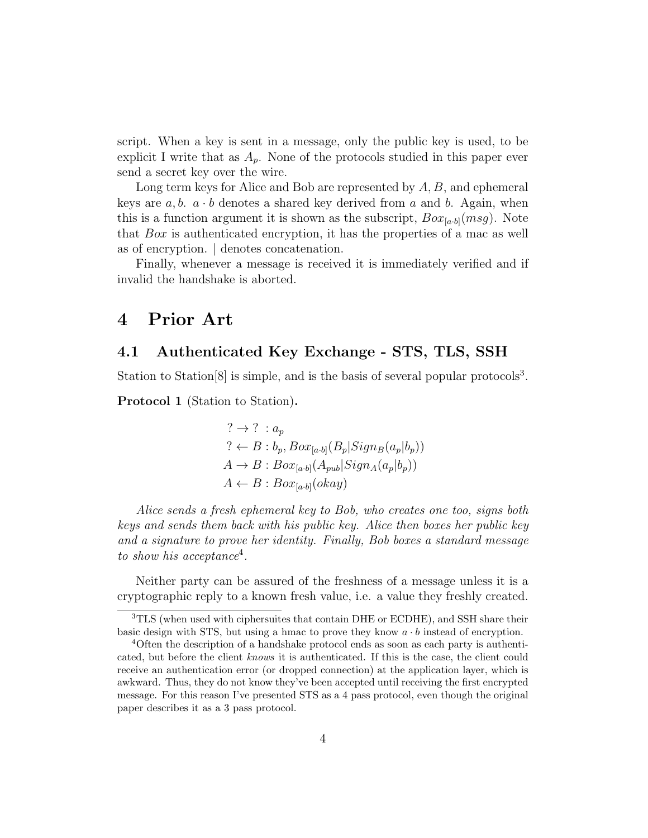script. When a key is sent in a message, only the public key is used, to be explicit I write that as  $A_p$ . None of the protocols studied in this paper ever send a secret key over the wire.

Long term keys for Alice and Bob are represented by  $A, B$ , and ephemeral keys are  $a, b, a \cdot b$  denotes a shared key derived from a and b. Again, when this is a function argument it is shown as the subscript,  $Box_{[a\cdot b]}(msg)$ . Note that  $Box$  is authenticated encryption, it has the properties of a mac as well as of encryption. | denotes concatenation.

Finally, whenever a message is received it is immediately verified and if invalid the handshake is aborted.

### 4 Prior Art

#### 4.1 Authenticated Key Exchange - STS, TLS, SSH

Station to Station<sup>[8]</sup> is simple, and is the basis of several popular protocols<sup>3</sup>.

Protocol 1 (Station to Station).

$$
? \rightarrow ? : a_p
$$
  
\n
$$
? \leftarrow B : b_p, Box_{[a \cdot b]}(B_p|Sign_B(a_p|b_p))
$$
  
\n
$$
A \rightarrow B : Box_{[a \cdot b]}(A_{pub}|Sign_A(a_p|b_p))
$$
  
\n
$$
A \leftarrow B : Box_{[a \cdot b]}(okay)
$$

Alice sends a fresh ephemeral key to Bob, who creates one too, signs both keys and sends them back with his public key. Alice then boxes her public key and a signature to prove her identity. Finally, Bob boxes a standard message to show his acceptance<sup>4</sup>.

Neither party can be assured of the freshness of a message unless it is a cryptographic reply to a known fresh value, i.e. a value they freshly created.

<sup>&</sup>lt;sup>3</sup>TLS (when used with ciphersuites that contain DHE or ECDHE), and SSH share their basic design with STS, but using a hmac to prove they know  $a \cdot b$  instead of encryption.

<sup>&</sup>lt;sup>4</sup>Often the description of a handshake protocol ends as soon as each party is authenticated, but before the client knows it is authenticated. If this is the case, the client could receive an authentication error (or dropped connection) at the application layer, which is awkward. Thus, they do not know they've been accepted until receiving the first encrypted message. For this reason I've presented STS as a 4 pass protocol, even though the original paper describes it as a 3 pass protocol.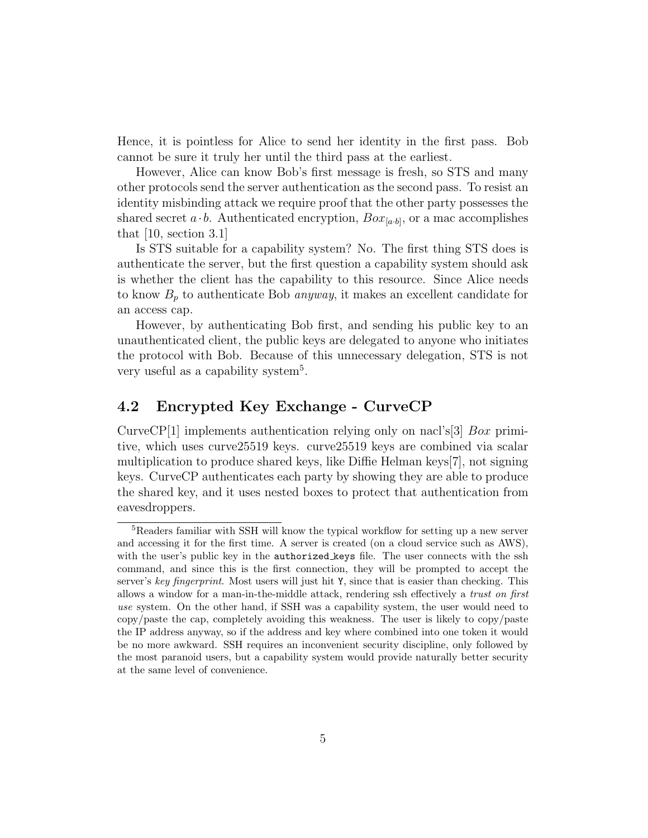Hence, it is pointless for Alice to send her identity in the first pass. Bob cannot be sure it truly her until the third pass at the earliest.

However, Alice can know Bob's first message is fresh, so STS and many other protocols send the server authentication as the second pass. To resist an identity misbinding attack we require proof that the other party possesses the shared secret  $a \cdot b$ . Authenticated encryption,  $Box_{[a \cdot b]}$ , or a mac accomplishes that [10, section 3.1]

Is STS suitable for a capability system? No. The first thing STS does is authenticate the server, but the first question a capability system should ask is whether the client has the capability to this resource. Since Alice needs to know  $B_p$  to authenticate Bob *anyway*, it makes an excellent candidate for an access cap.

However, by authenticating Bob first, and sending his public key to an unauthenticated client, the public keys are delegated to anyone who initiates the protocol with Bob. Because of this unnecessary delegation, STS is not very useful as a capability system<sup>5</sup>.

#### 4.2 Encrypted Key Exchange - CurveCP

CurveCP[1] implements authentication relying only on nacl's[3]  $Box$  primitive, which uses curve25519 keys. curve25519 keys are combined via scalar multiplication to produce shared keys, like Diffie Helman keys[7], not signing keys. CurveCP authenticates each party by showing they are able to produce the shared key, and it uses nested boxes to protect that authentication from eavesdroppers.

<sup>&</sup>lt;sup>5</sup>Readers familiar with SSH will know the typical workflow for setting up a new server and accessing it for the first time. A server is created (on a cloud service such as AWS), with the user's public key in the **authorized** keys file. The user connects with the ssh command, and since this is the first connection, they will be prompted to accept the server's key fingerprint. Most users will just hit Y, since that is easier than checking. This allows a window for a man-in-the-middle attack, rendering ssh effectively a trust on first use system. On the other hand, if SSH was a capability system, the user would need to copy/paste the cap, completely avoiding this weakness. The user is likely to copy/paste the IP address anyway, so if the address and key where combined into one token it would be no more awkward. SSH requires an inconvenient security discipline, only followed by the most paranoid users, but a capability system would provide naturally better security at the same level of convenience.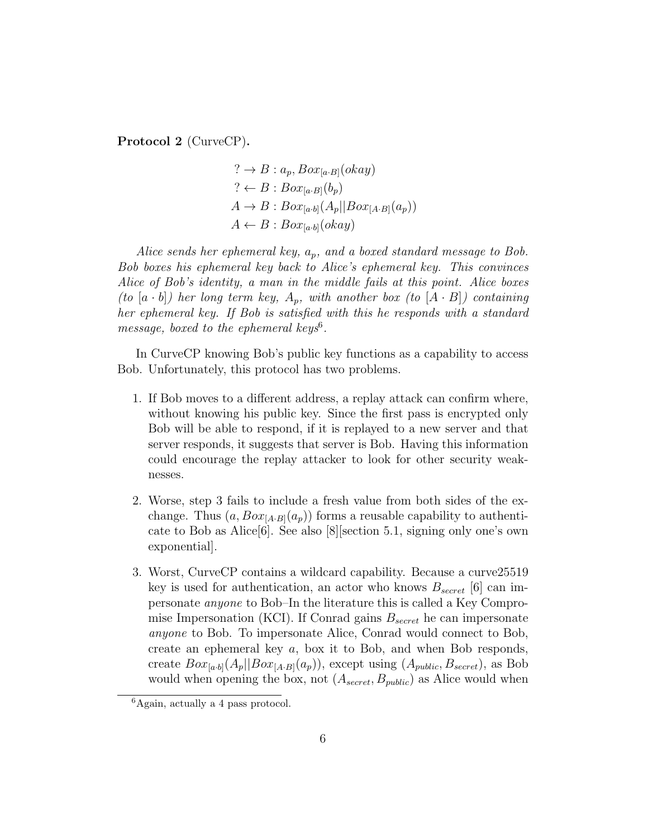Protocol 2 (CurveCP).

$$
? \rightarrow B: a_p, Box_{[a \cdot B]}(okay)
$$
  
\n
$$
? \leftarrow B: Box_{[a \cdot B]}(b_p)
$$
  
\n
$$
A \rightarrow B: Box_{[a \cdot b]}(A_p || Box_{[A \cdot B]}(a_p))
$$
  
\n
$$
A \leftarrow B: Box_{[a \cdot b]}(okay)
$$

Alice sends her ephemeral key,  $a_p$ , and a boxed standard message to Bob. Bob boxes his ephemeral key back to Alice's ephemeral key. This convinces Alice of Bob's identity, a man in the middle fails at this point. Alice boxes (to  $[a \cdot b]$ ) her long term key,  $A_p$ , with another box (to  $[A \cdot B]$ ) containing her ephemeral key. If Bob is satisfied with this he responds with a standard message, boxed to the ephemeral keys<sup>6</sup>.

In CurveCP knowing Bob's public key functions as a capability to access Bob. Unfortunately, this protocol has two problems.

- 1. If Bob moves to a different address, a replay attack can confirm where, without knowing his public key. Since the first pass is encrypted only Bob will be able to respond, if it is replayed to a new server and that server responds, it suggests that server is Bob. Having this information could encourage the replay attacker to look for other security weaknesses.
- 2. Worse, step 3 fails to include a fresh value from both sides of the exchange. Thus  $(a, Box_{[A\cdot B]}(a_p))$  forms a reusable capability to authenticate to Bob as Alice[6]. See also [8][section 5.1, signing only one's own exponential].
- 3. Worst, CurveCP contains a wildcard capability. Because a curve25519 key is used for authentication, an actor who knows  $B_{secret}$  [6] can impersonate anyone to Bob–In the literature this is called a Key Compromise Impersonation (KCI). If Conrad gains  $B_{secret}$  he can impersonate anyone to Bob. To impersonate Alice, Conrad would connect to Bob, create an ephemeral key a, box it to Bob, and when Bob responds, create  $Box_{[a\cdot b]}(A_p||Box_{[A\cdot B]}(a_p))$ , except using  $(A_{public}, B_{secret})$ , as Bob would when opening the box, not  $(A_{secret}, B_{public})$  as Alice would when

 ${}^{6}$ Again, actually a 4 pass protocol.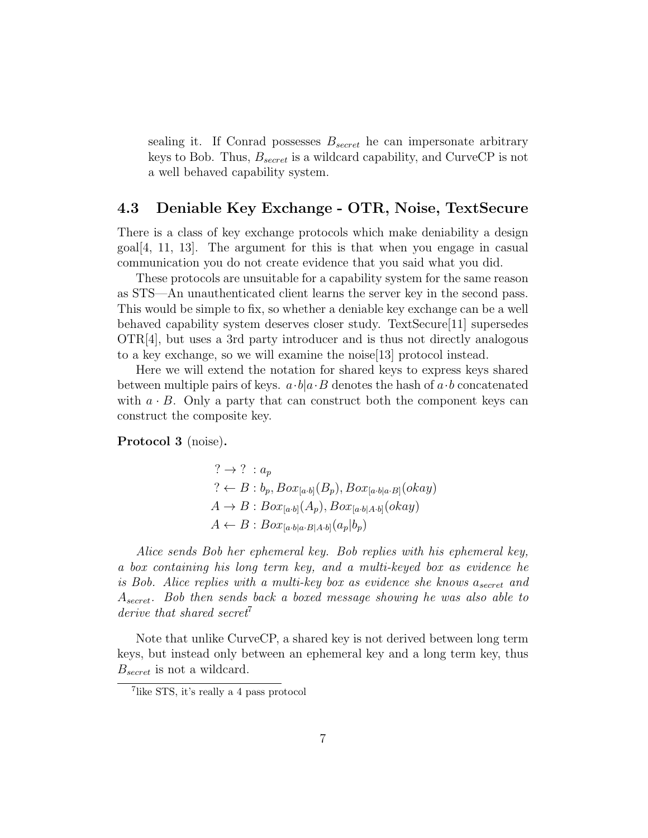sealing it. If Conrad possesses  $B_{secret}$  he can impersonate arbitrary keys to Bob. Thus,  $B_{secret}$  is a wildcard capability, and CurveCP is not a well behaved capability system.

#### 4.3 Deniable Key Exchange - OTR, Noise, TextSecure

There is a class of key exchange protocols which make deniability a design  $\lceil \text{goal} \rceil \cdot 4$ , 11, 13. The argument for this is that when you engage in casual communication you do not create evidence that you said what you did.

These protocols are unsuitable for a capability system for the same reason as STS—An unauthenticated client learns the server key in the second pass. This would be simple to fix, so whether a deniable key exchange can be a well behaved capability system deserves closer study. TextSecure[11] supersedes OTR[4], but uses a 3rd party introducer and is thus not directly analogous to a key exchange, so we will examine the noise[13] protocol instead.

Here we will extend the notation for shared keys to express keys shared between multiple pairs of keys.  $a \cdot b | a \cdot B$  denotes the hash of  $a \cdot b$  concatenated with  $a \cdot B$ . Only a party that can construct both the component keys can construct the composite key.

Protocol 3 (noise).

$$
? \rightarrow ? : a_p
$$
  
\n
$$
? \leftarrow B : b_p, Box_{[a \cdot b]}(B_p), Box_{[a \cdot b]a \cdot B]}(okay)
$$
  
\n
$$
A \rightarrow B : Box_{[a \cdot b]}(A_p), Box_{[a \cdot b]A \cdot b]}(okay)
$$
  
\n
$$
A \leftarrow B : Box_{[a \cdot b]a \cdot B]A \cdot b]}(a_p|b_p)
$$

Alice sends Bob her ephemeral key. Bob replies with his ephemeral key, a box containing his long term key, and a multi-keyed box as evidence he is Bob. Alice replies with a multi-key box as evidence she knows  $a_{secret}$  and Asecret. Bob then sends back a boxed message showing he was also able to derive that shared secret<sup>7</sup>

Note that unlike CurveCP, a shared key is not derived between long term keys, but instead only between an ephemeral key and a long term key, thus  $B_{secret}$  is not a wildcard.

<sup>7</sup> like STS, it's really a 4 pass protocol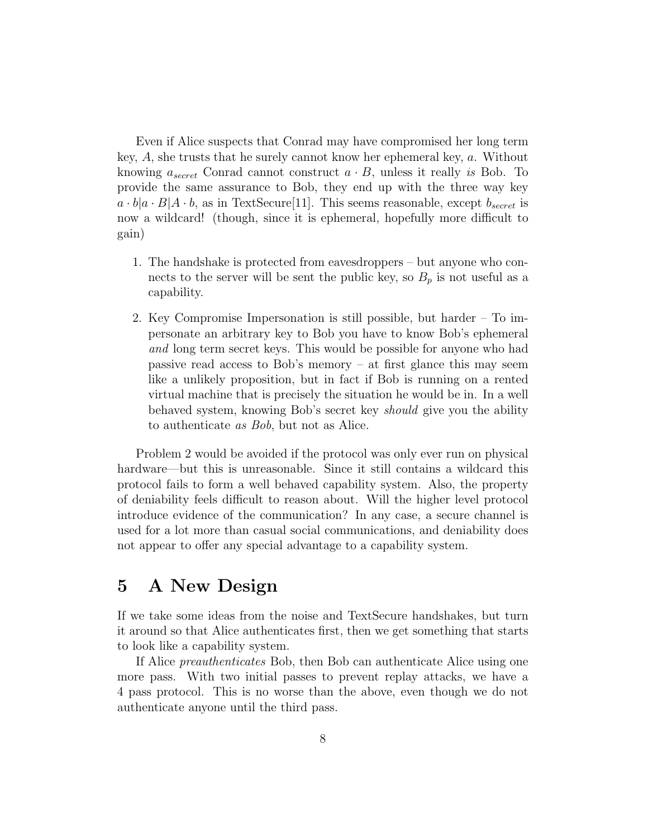Even if Alice suspects that Conrad may have compromised her long term key, A, she trusts that he surely cannot know her ephemeral key, a. Without knowing  $a_{secret}$  Conrad cannot construct  $a \cdot B$ , unless it really is Bob. To provide the same assurance to Bob, they end up with the three way key  $a \cdot b | a \cdot B | A \cdot b$ , as in TextSecure[11]. This seems reasonable, except  $b_{secret}$  is now a wildcard! (though, since it is ephemeral, hopefully more difficult to gain)

- 1. The handshake is protected from eavesdroppers but anyone who connects to the server will be sent the public key, so  $B_p$  is not useful as a capability.
- 2. Key Compromise Impersonation is still possible, but harder To impersonate an arbitrary key to Bob you have to know Bob's ephemeral and long term secret keys. This would be possible for anyone who had passive read access to Bob's memory – at first glance this may seem like a unlikely proposition, but in fact if Bob is running on a rented virtual machine that is precisely the situation he would be in. In a well behaved system, knowing Bob's secret key should give you the ability to authenticate as Bob, but not as Alice.

Problem 2 would be avoided if the protocol was only ever run on physical hardware—but this is unreasonable. Since it still contains a wildcard this protocol fails to form a well behaved capability system. Also, the property of deniability feels difficult to reason about. Will the higher level protocol introduce evidence of the communication? In any case, a secure channel is used for a lot more than casual social communications, and deniability does not appear to offer any special advantage to a capability system.

# 5 A New Design

If we take some ideas from the noise and TextSecure handshakes, but turn it around so that Alice authenticates first, then we get something that starts to look like a capability system.

If Alice preauthenticates Bob, then Bob can authenticate Alice using one more pass. With two initial passes to prevent replay attacks, we have a 4 pass protocol. This is no worse than the above, even though we do not authenticate anyone until the third pass.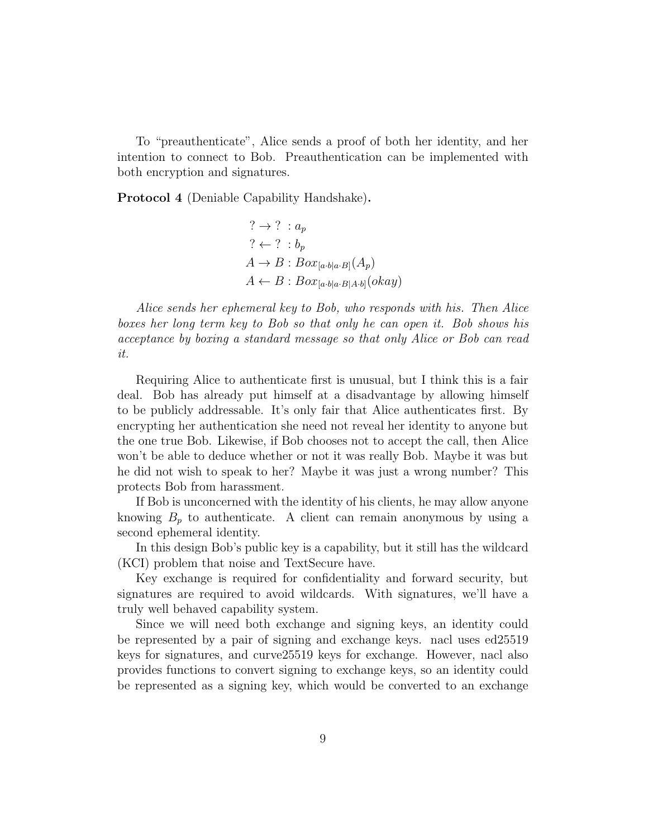To "preauthenticate", Alice sends a proof of both her identity, and her intention to connect to Bob. Preauthentication can be implemented with both encryption and signatures.

Protocol 4 (Deniable Capability Handshake).

$$
? \rightarrow ? : a_p
$$
  
\n
$$
? \leftarrow ? : b_p
$$
  
\n
$$
A \rightarrow B : Box_{[a \cdot b]a \cdot B]}(A_p)
$$
  
\n
$$
A \leftarrow B : Box_{[a \cdot b]a \cdot B]A \cdot b]}(okay)
$$

Alice sends her ephemeral key to Bob, who responds with his. Then Alice boxes her long term key to Bob so that only he can open it. Bob shows his acceptance by boxing a standard message so that only Alice or Bob can read it.

Requiring Alice to authenticate first is unusual, but I think this is a fair deal. Bob has already put himself at a disadvantage by allowing himself to be publicly addressable. It's only fair that Alice authenticates first. By encrypting her authentication she need not reveal her identity to anyone but the one true Bob. Likewise, if Bob chooses not to accept the call, then Alice won't be able to deduce whether or not it was really Bob. Maybe it was but he did not wish to speak to her? Maybe it was just a wrong number? This protects Bob from harassment.

If Bob is unconcerned with the identity of his clients, he may allow anyone knowing  $B_p$  to authenticate. A client can remain anonymous by using a second ephemeral identity.

In this design Bob's public key is a capability, but it still has the wildcard (KCI) problem that noise and TextSecure have.

Key exchange is required for confidentiality and forward security, but signatures are required to avoid wildcards. With signatures, we'll have a truly well behaved capability system.

Since we will need both exchange and signing keys, an identity could be represented by a pair of signing and exchange keys. nacl uses ed25519 keys for signatures, and curve25519 keys for exchange. However, nacl also provides functions to convert signing to exchange keys, so an identity could be represented as a signing key, which would be converted to an exchange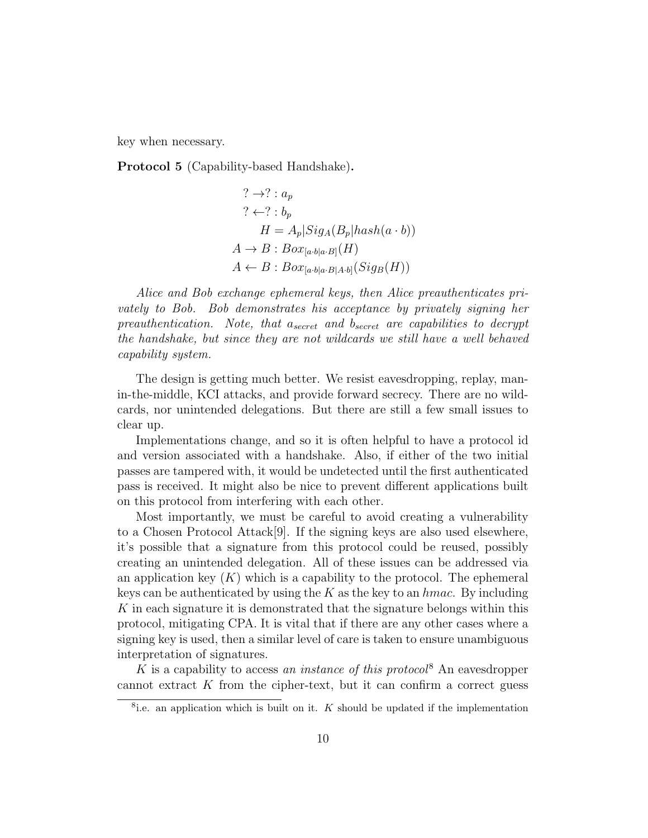key when necessary.

Protocol 5 (Capability-based Handshake).

$$
? \rightarrow ? : a_p
$$
  
\n
$$
? \leftarrow ? : b_p
$$
  
\n
$$
H = A_p | Sig_A(B_p | hash(a \cdot b))
$$
  
\n
$$
A \rightarrow B : Box_{[a \cdot b]a \cdot B]}(H)
$$
  
\n
$$
A \leftarrow B : Box_{[a \cdot b]a \cdot B]A \cdot b]}(Sig_B(H))
$$

Alice and Bob exchange ephemeral keys, then Alice preauthenticates privately to Bob. Bob demonstrates his acceptance by privately signing her preauthentication. Note, that  $a_{secret}$  and  $b_{secret}$  are capabilities to decrypt the handshake, but since they are not wildcards we still have a well behaved capability system.

The design is getting much better. We resist eavesdropping, replay, manin-the-middle, KCI attacks, and provide forward secrecy. There are no wildcards, nor unintended delegations. But there are still a few small issues to clear up.

Implementations change, and so it is often helpful to have a protocol id and version associated with a handshake. Also, if either of the two initial passes are tampered with, it would be undetected until the first authenticated pass is received. It might also be nice to prevent different applications built on this protocol from interfering with each other.

Most importantly, we must be careful to avoid creating a vulnerability to a Chosen Protocol Attack[9]. If the signing keys are also used elsewhere, it's possible that a signature from this protocol could be reused, possibly creating an unintended delegation. All of these issues can be addressed via an application key  $(K)$  which is a capability to the protocol. The ephemeral keys can be authenticated by using the  $K$  as the key to an  $hmac$ . By including K in each signature it is demonstrated that the signature belongs within this protocol, mitigating CPA. It is vital that if there are any other cases where a signing key is used, then a similar level of care is taken to ensure unambiguous interpretation of signatures.

K is a capability to access an instance of this protocol<sup>8</sup> An eavesdropper cannot extract  $K$  from the cipher-text, but it can confirm a correct guess

<sup>&</sup>lt;sup>8</sup>i.e. an application which is built on it. K should be updated if the implementation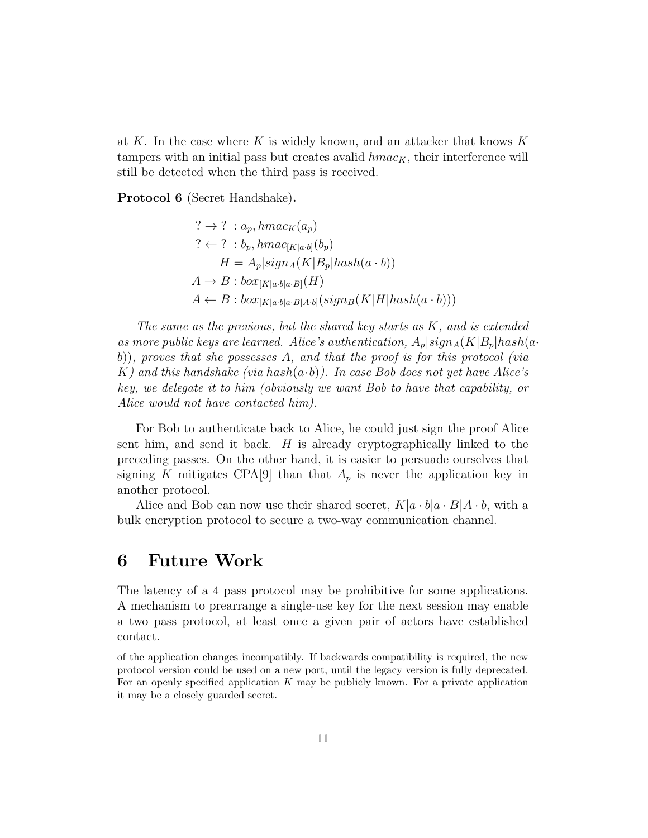at K. In the case where K is widely known, and an attacker that knows  $K$ tampers with an initial pass but creates avalid  $hmac_K$ , their interference will still be detected when the third pass is received.

Protocol 6 (Secret Handshake).

$$
? \rightarrow ? : a_p, hmac_K(a_p)
$$
  
\n
$$
? \leftarrow ? : b_p, hmac_{[K|a\cdot b]}(b_p)
$$
  
\n
$$
H = A_p|sign_A(K|B_p|hash(a \cdot b))
$$
  
\n
$$
A \rightarrow B : box_{[K|a\cdot b]a\cdot B]}(H)
$$
  
\n
$$
A \leftarrow B : box_{[K|a\cdot b]a\cdot B|A\cdot b]}(sign_B(K|H|hash(a \cdot b)))
$$

The same as the previous, but the shared key starts as K, and is extended as more public keys are learned. Alice's authentication,  $A_p|sign_A(K|B_p|hash(a \cdot$ b)), proves that she possesses A, and that the proof is for this protocol (via K) and this handshake (via hash $(a \cdot b)$ ). In case Bob does not yet have Alice's key, we delegate it to him (obviously we want Bob to have that capability, or Alice would not have contacted him).

For Bob to authenticate back to Alice, he could just sign the proof Alice sent him, and send it back.  $H$  is already cryptographically linked to the preceding passes. On the other hand, it is easier to persuade ourselves that signing K mitigates CPA[9] than that  $A_p$  is never the application key in another protocol.

Alice and Bob can now use their shared secret,  $K|a \cdot b|a \cdot B|A \cdot b$ , with a bulk encryption protocol to secure a two-way communication channel.

## 6 Future Work

The latency of a 4 pass protocol may be prohibitive for some applications. A mechanism to prearrange a single-use key for the next session may enable a two pass protocol, at least once a given pair of actors have established contact.

of the application changes incompatibly. If backwards compatibility is required, the new protocol version could be used on a new port, until the legacy version is fully deprecated. For an openly specified application  $K$  may be publicly known. For a private application it may be a closely guarded secret.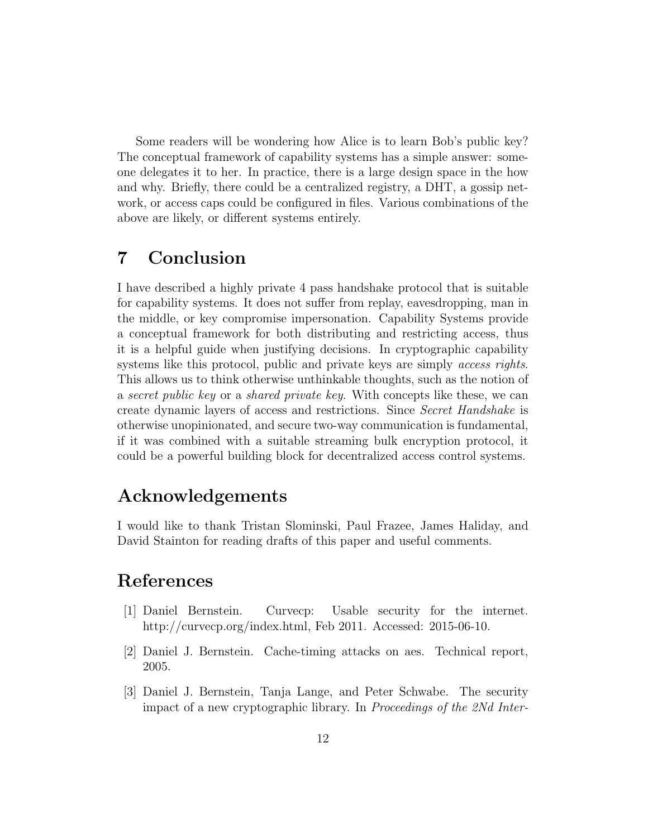Some readers will be wondering how Alice is to learn Bob's public key? The conceptual framework of capability systems has a simple answer: someone delegates it to her. In practice, there is a large design space in the how and why. Briefly, there could be a centralized registry, a DHT, a gossip network, or access caps could be configured in files. Various combinations of the above are likely, or different systems entirely.

# 7 Conclusion

I have described a highly private 4 pass handshake protocol that is suitable for capability systems. It does not suffer from replay, eavesdropping, man in the middle, or key compromise impersonation. Capability Systems provide a conceptual framework for both distributing and restricting access, thus it is a helpful guide when justifying decisions. In cryptographic capability systems like this protocol, public and private keys are simply *access rights*. This allows us to think otherwise unthinkable thoughts, such as the notion of a secret public key or a shared private key. With concepts like these, we can create dynamic layers of access and restrictions. Since Secret Handshake is otherwise unopinionated, and secure two-way communication is fundamental, if it was combined with a suitable streaming bulk encryption protocol, it could be a powerful building block for decentralized access control systems.

# Acknowledgements

I would like to thank Tristan Slominski, Paul Frazee, James Haliday, and David Stainton for reading drafts of this paper and useful comments.

# References

- [1] Daniel Bernstein. Curvecp: Usable security for the internet. http://curvecp.org/index.html, Feb 2011. Accessed: 2015-06-10.
- [2] Daniel J. Bernstein. Cache-timing attacks on aes. Technical report, 2005.
- [3] Daniel J. Bernstein, Tanja Lange, and Peter Schwabe. The security impact of a new cryptographic library. In Proceedings of the 2Nd Inter-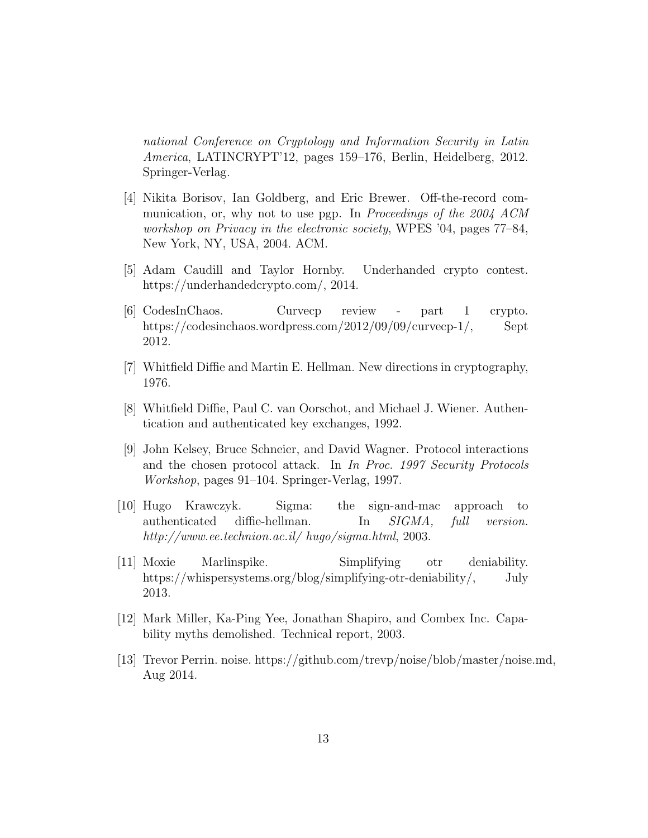national Conference on Cryptology and Information Security in Latin America, LATINCRYPT'12, pages 159–176, Berlin, Heidelberg, 2012. Springer-Verlag.

- [4] Nikita Borisov, Ian Goldberg, and Eric Brewer. Off-the-record communication, or, why not to use pgp. In Proceedings of the 2004 ACM workshop on Privacy in the electronic society, WPES '04, pages 77–84, New York, NY, USA, 2004. ACM.
- [5] Adam Caudill and Taylor Hornby. Underhanded crypto contest. https://underhandedcrypto.com/, 2014.
- [6] CodesInChaos. Curvecp review part 1 crypto. https://codesinchaos.wordpress.com/2012/09/09/curvecp-1/, Sept 2012.
- [7] Whitfield Diffie and Martin E. Hellman. New directions in cryptography, 1976.
- [8] Whitfield Diffie, Paul C. van Oorschot, and Michael J. Wiener. Authentication and authenticated key exchanges, 1992.
- [9] John Kelsey, Bruce Schneier, and David Wagner. Protocol interactions and the chosen protocol attack. In In Proc. 1997 Security Protocols Workshop, pages 91–104. Springer-Verlag, 1997.
- [10] Hugo Krawczyk. Sigma: the sign-and-mac approach to authenticated diffie-hellman. In SIGMA, full version. http://www.ee.technion.ac.il/ hugo/sigma.html, 2003.
- [11] Moxie Marlinspike. Simplifying otr deniability. https://whispersystems.org/blog/simplifying-otr-deniability/, July 2013.
- [12] Mark Miller, Ka-Ping Yee, Jonathan Shapiro, and Combex Inc. Capability myths demolished. Technical report, 2003.
- [13] Trevor Perrin. noise. https://github.com/trevp/noise/blob/master/noise.md, Aug 2014.